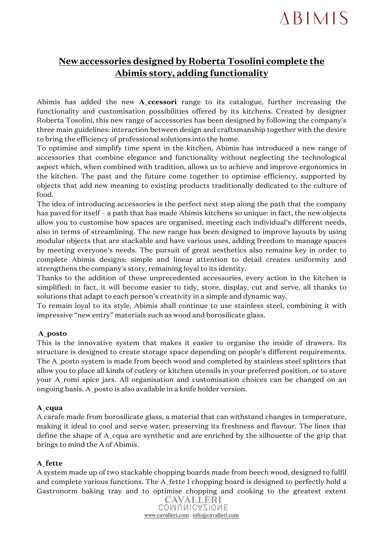# **ABIMIS**

# **New accessories designed by Roberta Tosolini complete the Abimis story, adding functionality**

Abimis has added the new **A\_ccessori** range to its catalogue, further increasing the functionality and customisation possibilities offered by its kitchens. Created by designer Roberta Tosolini, this new range of accessories has been designed by following the company's three main guidelines: interaction between design and craftsmanship together with the desire to bring the efficiency of professional solutions into the home.

To optimise and simplify time spent in the kitchen, Abimis has introduced a new range of accessories that combine elegance and functionality without neglecting the technological aspect which, when combined with tradition, allows us to achieve and improve ergonomics in the kitchen. The past and the future come together to optimise efficiency, supported by objects that add new meaning to existing products traditionally dedicated to the culture of food.

The idea of introducing accessories is the perfect next step along the path that the company has paved for itself – a path that has made Abimis kitchens so unique: in fact, the new objects allow you to customise how spaces are organised, meeting each individual's different needs, also in terms of streamlining. The new range has been designed to improve layouts by using modular objects that are stackable and have various uses, adding freedom to manage spaces by meeting everyone's needs. The pursuit of great aesthetics also remains key in order to complete Abimis designs: simple and linear attention to detail creates uniformity and strengthens the company's story, remaining loyal to its identity.

Thanks to the addition of these unprecedented accessories, every action in the kitchen is simplified: in fact, it will become easier to tidy, store, display, cut and serve, all thanks to solutions that adapt to each person's creativity in a simple and dynamic way.

To remain loyal to its style, Abimis shall continue to use stainless steel, combining it with impressive "new entry" materials such as wood and borosilicate glass.

# **A\_posto**

This is the innovative system that makes it easier to organise the inside of drawers. Its structure is designed to create storage space depending on people's different requirements. The A\_posto system is made from beech wood and completed by stainless steel splitters that allow you to place all kinds of cutlery or kitchen utensils in your preferred position, or to store your A\_romi spice jars. All organisation and customisation choices can be changed on an ongoing basis. A\_posto is also available in a knife holder version.

#### **A\_cqua**

A carafe made from borosilicate glass, a material that can withstand changes in temperature, making it ideal to cool and serve water, preserving its freshness and flavour. The lines that define the shape of A\_cqua are synthetic and are enriched by the silhouette of the grip that brings to mind the A of Abimis.

# **A\_fette**

A system made up of two stackable chopping boards made from beech wood, designed to fulfil and complete various functions. The A\_fette 1 chopping board is designed to perfectly hold a Gastronorm baking tray and to optimise chopping and cooking to the greatest extent